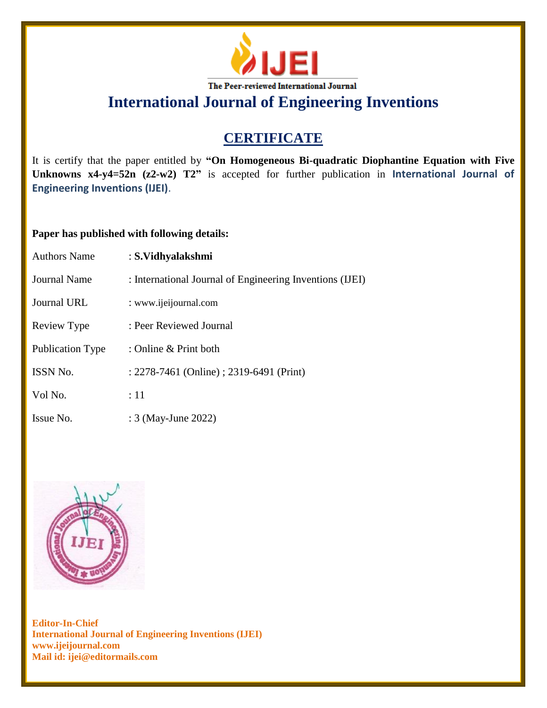

**International Journal of Engineering Inventions**

## **CERTIFICATE**

It is certify that the paper entitled by **"On Homogeneous Bi-quadratic Diophantine Equation with Five Unknowns x4-y4=52n (z2-w2) T2"** is accepted for further publication in **International Journal of Engineering Inventions (IJEI)**.

## **Paper has published with following details:**

| <b>Authors Name</b> | : S.Vidhyalakshmi                                        |
|---------------------|----------------------------------------------------------|
| Journal Name        | : International Journal of Engineering Inventions (IJEI) |
| Journal URL         | : www.ijeijournal.com                                    |
| Review Type         | : Peer Reviewed Journal                                  |
| Publication Type    | : Online & Print both                                    |
| ISSN No.            | : 2278-7461 (Online) ; 2319-6491 (Print)                 |
| Vol No.             | :11                                                      |
| Issue No.           | : 3 (May-June 2022)                                      |



**Editor-In-Chief International Journal of Engineering Inventions (IJEI) www.ijeijournal.com Mail id: ijei@editormails.com**